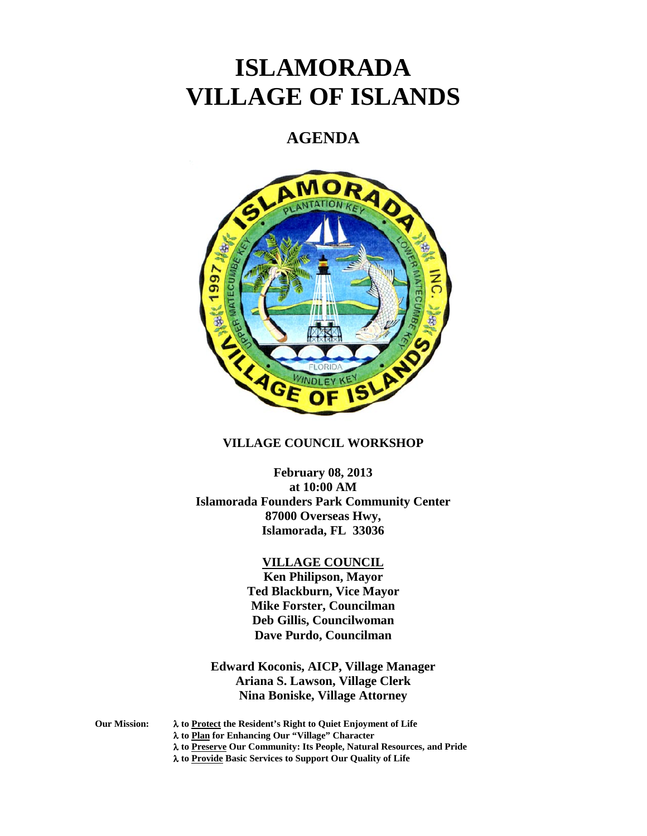# **ISLAMORADA VILLAGE OF ISLANDS**

# **AGENDA**



# **VILLAGE COUNCIL WORKSHOP**

**February 08, 2013 at 10:00 AM Islamorada Founders Park Community Center 87000 Overseas Hwy, Islamorada, FL 33036**

#### **VILLAGE COUNCIL**

**Ken Philipson, Mayor Ted Blackburn, Vice Mayor Mike Forster, Councilman Deb Gillis, Councilwoman Dave Purdo, Councilman**

**Edward Koconis, AICP, Village Manager Ariana S. Lawson, Village Clerk Nina Boniske, Village Attorney**

- **Our Mission:** λ **to Protect the Resident's Right to Quiet Enjoyment of Life**
	- λ **to Plan for Enhancing Our "Village" Character**
	- λ **to Preserve Our Community: Its People, Natural Resources, and Pride**
	- λ **to Provide Basic Services to Support Our Quality of Life**